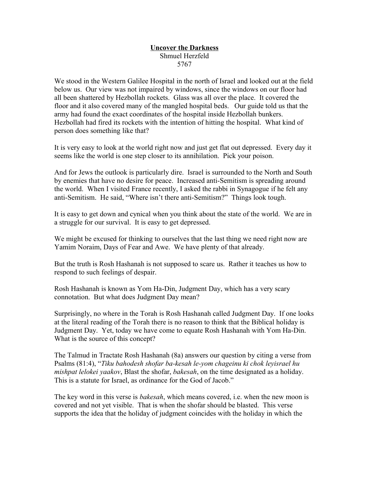## **Uncover the Darkness** Shmuel Herzfeld 5767

We stood in the Western Galilee Hospital in the north of Israel and looked out at the field below us. Our view was not impaired by windows, since the windows on our floor had all been shattered by Hezbollah rockets. Glass was all over the place. It covered the floor and it also covered many of the mangled hospital beds. Our guide told us that the army had found the exact coordinates of the hospital inside Hezbollah bunkers. Hezbollah had fired its rockets with the intention of hitting the hospital. What kind of person does something like that?

It is very easy to look at the world right now and just get flat out depressed. Every day it seems like the world is one step closer to its annihilation. Pick your poison.

And for Jews the outlook is particularly dire. Israel is surrounded to the North and South by enemies that have no desire for peace. Increased anti-Semitism is spreading around the world. When I visited France recently, I asked the rabbi in Synagogue if he felt any anti-Semitism. He said, "Where isn't there anti-Semitism?" Things look tough.

It is easy to get down and cynical when you think about the state of the world. We are in a struggle for our survival. It is easy to get depressed.

We might be excused for thinking to ourselves that the last thing we need right now are Yamim Noraim, Days of Fear and Awe. We have plenty of that already.

But the truth is Rosh Hashanah is not supposed to scare us. Rather it teaches us how to respond to such feelings of despair.

Rosh Hashanah is known as Yom Ha-Din, Judgment Day, which has a very scary connotation. But what does Judgment Day mean?

Surprisingly, no where in the Torah is Rosh Hashanah called Judgment Day. If one looks at the literal reading of the Torah there is no reason to think that the Biblical holiday is Judgment Day. Yet, today we have come to equate Rosh Hashanah with Yom Ha-Din. What is the source of this concept?

The Talmud in Tractate Rosh Hashanah (8a) answers our question by citing a verse from Psalms (81:4), "*Tiku bahodesh shofar ba-kesah le-yom chageinu ki chok leyisrael hu mishpat lelokei yaakov*, Blast the shofar, *bakesah*, on the time designated as a holiday. This is a statute for Israel, as ordinance for the God of Jacob."

The key word in this verse is *bakesah*, which means covered, i.e. when the new moon is covered and not yet visible. That is when the shofar should be blasted. This verse supports the idea that the holiday of judgment coincides with the holiday in which the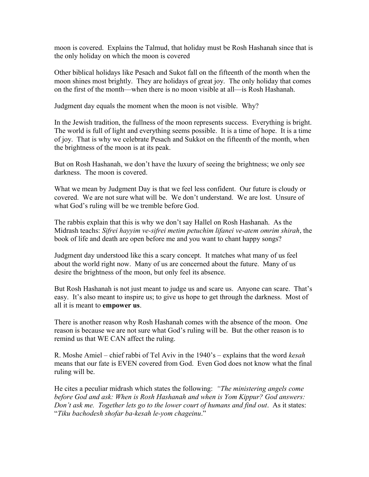moon is covered. Explains the Talmud, that holiday must be Rosh Hashanah since that is the only holiday on which the moon is covered

Other biblical holidays like Pesach and Sukot fall on the fifteenth of the month when the moon shines most brightly. They are holidays of great joy. The only holiday that comes on the first of the month—when there is no moon visible at all—is Rosh Hashanah.

Judgment day equals the moment when the moon is not visible. Why?

In the Jewish tradition, the fullness of the moon represents success. Everything is bright. The world is full of light and everything seems possible. It is a time of hope. It is a time of joy. That is why we celebrate Pesach and Sukkot on the fifteenth of the month, when the brightness of the moon is at its peak.

But on Rosh Hashanah, we don't have the luxury of seeing the brightness; we only see darkness. The moon is covered.

What we mean by Judgment Day is that we feel less confident. Our future is cloudy or covered. We are not sure what will be. We don't understand. We are lost. Unsure of what God's ruling will be we tremble before God.

The rabbis explain that this is why we don't say Hallel on Rosh Hashanah. As the Midrash teachs: *Sifrei hayyim ve-sifrei metim petuchim lifanei ve-atem omrim shirah*, the book of life and death are open before me and you want to chant happy songs?

Judgment day understood like this a scary concept. It matches what many of us feel about the world right now. Many of us are concerned about the future. Many of us desire the brightness of the moon, but only feel its absence.

But Rosh Hashanah is not just meant to judge us and scare us. Anyone can scare. That's easy. It's also meant to inspire us; to give us hope to get through the darkness. Most of all it is meant to **empower us**.

There is another reason why Rosh Hashanah comes with the absence of the moon. One reason is because we are not sure what God's ruling will be. But the other reason is to remind us that WE CAN affect the ruling.

R. Moshe Amiel – chief rabbi of Tel Aviv in the 1940's – explains that the word *kesah* means that our fate is EVEN covered from God. Even God does not know what the final ruling will be.

He cites a peculiar midrash which states the following: *"The ministering angels come before God and ask: When is Rosh Hashanah and when is Yom Kippur? God answers: Don't ask me. Together lets go to the lower court of humans and find out*. As it states: "*Tiku bachodesh shofar ba-kesah le-yom chageinu*."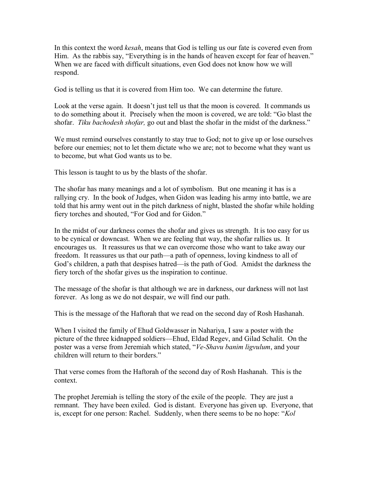In this context the word *kesah*, means that God is telling us our fate is covered even from Him. As the rabbis say, "Everything is in the hands of heaven except for fear of heaven." When we are faced with difficult situations, even God does not know how we will respond.

God is telling us that it is covered from Him too. We can determine the future.

Look at the verse again. It doesn't just tell us that the moon is covered. It commands us to do something about it. Precisely when the moon is covered, we are told: "Go blast the shofar. *Tiku bachodesh shofar,* go out and blast the shofar in the midst of the darkness."

We must remind ourselves constantly to stay true to God; not to give up or lose ourselves before our enemies; not to let them dictate who we are; not to become what they want us to become, but what God wants us to be.

This lesson is taught to us by the blasts of the shofar.

The shofar has many meanings and a lot of symbolism. But one meaning it has is a rallying cry. In the book of Judges, when Gidon was leading his army into battle, we are told that his army went out in the pitch darkness of night, blasted the shofar while holding fiery torches and shouted, "For God and for Gidon."

In the midst of our darkness comes the shofar and gives us strength. It is too easy for us to be cynical or downcast. When we are feeling that way, the shofar rallies us. It encourages us. It reassures us that we can overcome those who want to take away our freedom. It reassures us that our path—a path of openness, loving kindness to all of God's children, a path that despises hatred—is the path of God. Amidst the darkness the fiery torch of the shofar gives us the inspiration to continue.

The message of the shofar is that although we are in darkness, our darkness will not last forever. As long as we do not despair, we will find our path.

This is the message of the Haftorah that we read on the second day of Rosh Hashanah.

When I visited the family of Ehud Goldwasser in Nahariya, I saw a poster with the picture of the three kidnapped soldiers—Ehud, Eldad Regev, and Gilad Schalit. On the poster was a verse from Jeremiah which stated, "*Ve-Shavu banim ligvulum*, and your children will return to their borders."

That verse comes from the Haftorah of the second day of Rosh Hashanah. This is the context.

The prophet Jeremiah is telling the story of the exile of the people. They are just a remnant. They have been exiled. God is distant. Everyone has given up. Everyone, that is, except for one person: Rachel. Suddenly, when there seems to be no hope: "*Kol*